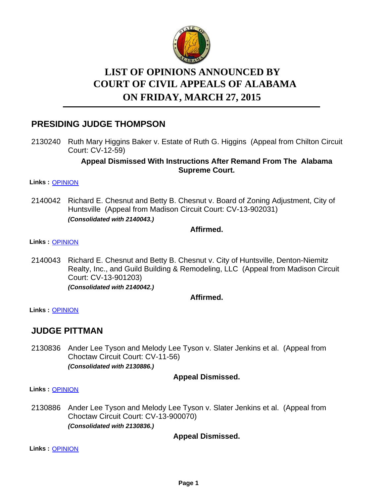

# **LIST OF OPINIONS ANNOUNCED BY ON FRIDAY, MARCH 27, 2015 COURT OF CIVIL APPEALS OF ALABAMA**

# **PRESIDING JUDGE THOMPSON**

2130240 Ruth Mary Higgins Baker v. Estate of Ruth G. Higgins (Appeal from Chilton Circuit Court: CV-12-59)

### **Appeal Dismissed With Instructions After Remand From The Alabama Supreme Court.**

#### **Links :** [OPINION](https://acis.alabama.gov/displaydocs.cfm?no=647746&event=4BB0JWW4I)

Richard E. Chesnut and Betty B. Chesnut v. Board of Zoning Adjustment, City of Huntsville (Appeal from Madison Circuit Court: CV-13-902031) *(Consolidated with 2140043.)* 2140042

### **Affirmed.**

#### **Links :** [OPINION](https://acis.alabama.gov/displaydocs.cfm?no=647749&event=4BB0JWWT6)

2140043 Richard E. Chesnut and Betty B. Chesnut v. City of Huntsville, Denton-Niemitz Realty, Inc., and Guild Building & Remodeling, LLC (Appeal from Madison Circuit Court: CV-13-901203) *(Consolidated with 2140042.)*

### **Affirmed.**

**Links :** [OPINION](https://acis.alabama.gov/displaydocs.cfm?no=647749&event=4BB0JWWT6)

### **JUDGE PITTMAN**

2130836 Ander Lee Tyson and Melody Lee Tyson v. Slater Jenkins et al. (Appeal from Choctaw Circuit Court: CV-11-56) *(Consolidated with 2130886.)*

### **Appeal Dismissed.**

**Links :** [OPINION](https://acis.alabama.gov/displaydocs.cfm?no=647747&event=4BB0JWWCA)

2130886 Ander Lee Tyson and Melody Lee Tyson v. Slater Jenkins et al. (Appeal from Choctaw Circuit Court: CV-13-900070) *(Consolidated with 2130836.)*

### **Appeal Dismissed.**

**Links :** [OPINION](https://acis.alabama.gov/displaydocs.cfm?no=647747&event=4BB0JWWCA)